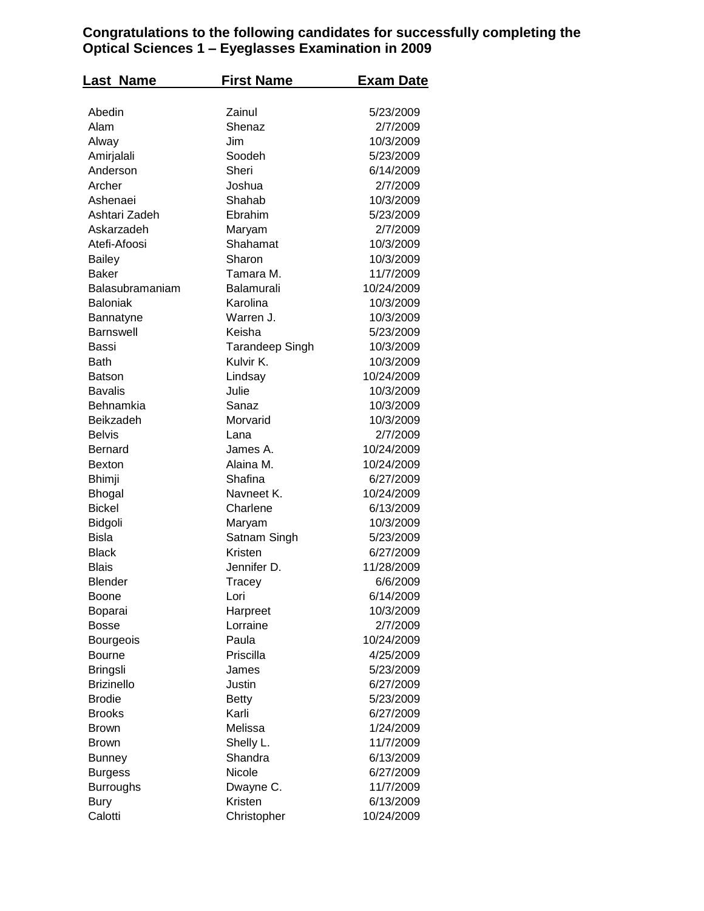## **Congratulations to the following candidates for successfully completing the Optical Sciences 1 – Eyeglasses Examination in 2009**

| Last Name         | <b>First Name</b>      | <b>Exam Date</b> |
|-------------------|------------------------|------------------|
|                   |                        |                  |
| Abedin            | Zainul                 | 5/23/2009        |
| Alam              | Shenaz                 | 2/7/2009         |
| Alway             | Jim                    | 10/3/2009        |
| Amirjalali        | Soodeh                 | 5/23/2009        |
| Anderson          | Sheri                  | 6/14/2009        |
| Archer            | Joshua                 | 2/7/2009         |
| Ashenaei          | Shahab                 | 10/3/2009        |
| Ashtari Zadeh     | Ebrahim                | 5/23/2009        |
| Askarzadeh        | Maryam                 | 2/7/2009         |
| Atefi-Afoosi      | Shahamat               | 10/3/2009        |
| <b>Bailey</b>     | Sharon                 | 10/3/2009        |
| <b>Baker</b>      | Tamara M.              | 11/7/2009        |
| Balasubramaniam   | Balamurali             | 10/24/2009       |
| <b>Baloniak</b>   | Karolina               | 10/3/2009        |
| Bannatyne         | Warren J.              | 10/3/2009        |
| <b>Barnswell</b>  | Keisha                 | 5/23/2009        |
| Bassi             | <b>Tarandeep Singh</b> | 10/3/2009        |
| <b>Bath</b>       | Kulvir K.              | 10/3/2009        |
| <b>Batson</b>     | Lindsay                | 10/24/2009       |
| <b>Bavalis</b>    | Julie                  | 10/3/2009        |
| Behnamkia         | Sanaz                  | 10/3/2009        |
| Beikzadeh         | Morvarid               | 10/3/2009        |
| <b>Belvis</b>     | Lana                   | 2/7/2009         |
| <b>Bernard</b>    | James A.               | 10/24/2009       |
| <b>Bexton</b>     | Alaina M.              | 10/24/2009       |
| <b>Bhimji</b>     | Shafina                | 6/27/2009        |
| <b>Bhogal</b>     | Navneet K.             | 10/24/2009       |
| <b>Bickel</b>     | Charlene               | 6/13/2009        |
| Bidgoli           | Maryam                 | 10/3/2009        |
| Bisla             | Satnam Singh           | 5/23/2009        |
| <b>Black</b>      | Kristen                | 6/27/2009        |
| <b>Blais</b>      | Jennifer D.            | 11/28/2009       |
| Blender           | Tracey                 | 6/6/2009         |
| Boone             | Lori                   | 6/14/2009        |
| Boparai           | Harpreet               | 10/3/2009        |
| Bosse             | Lorraine               | 2/7/2009         |
| Bourgeois         | Paula                  | 10/24/2009       |
| <b>Bourne</b>     | Priscilla              | 4/25/2009        |
| <b>Bringsli</b>   | James                  | 5/23/2009        |
| <b>Brizinello</b> | Justin                 | 6/27/2009        |
| <b>Brodie</b>     | <b>Betty</b>           | 5/23/2009        |
| <b>Brooks</b>     | Karli                  | 6/27/2009        |
| <b>Brown</b>      | Melissa                | 1/24/2009        |
| <b>Brown</b>      | Shelly L.              | 11/7/2009        |
| <b>Bunney</b>     | Shandra                | 6/13/2009        |
| <b>Burgess</b>    | Nicole                 | 6/27/2009        |
| <b>Burroughs</b>  | Dwayne C.              | 11/7/2009        |
| <b>Bury</b>       | Kristen                | 6/13/2009        |
| Calotti           | Christopher            | 10/24/2009       |
|                   |                        |                  |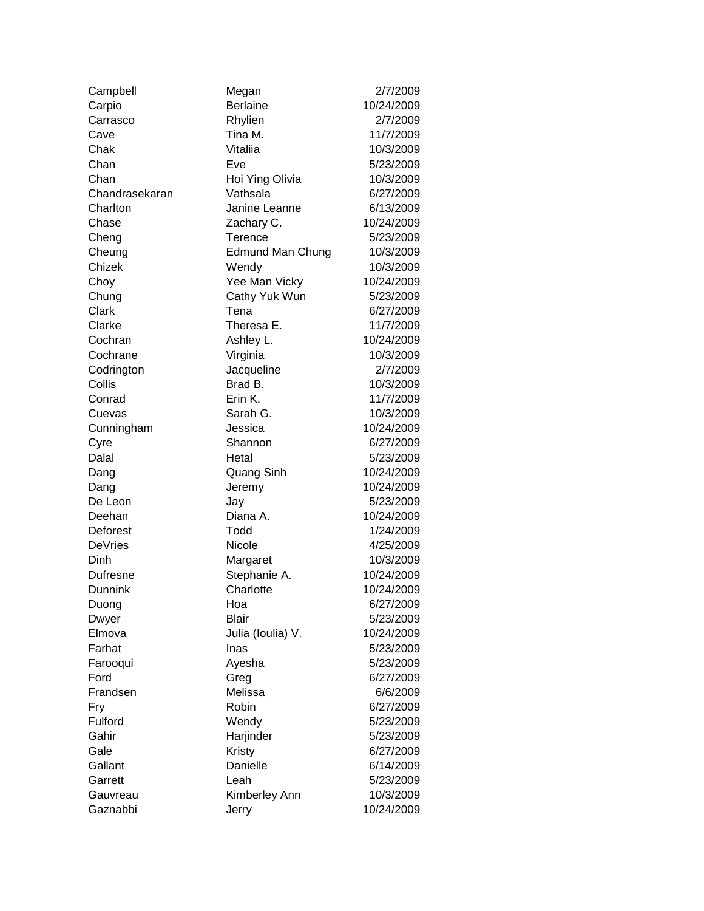| Campbell       | Megan                   | 2/7/2009   |
|----------------|-------------------------|------------|
| Carpio         | <b>Berlaine</b>         | 10/24/2009 |
| Carrasco       | Rhylien                 | 2/7/2009   |
| Cave           | Tina M.                 | 11/7/2009  |
| Chak           | Vitaliia                | 10/3/2009  |
| Chan           | Eve                     | 5/23/2009  |
| Chan           | Hoi Ying Olivia         | 10/3/2009  |
| Chandrasekaran | Vathsala                | 6/27/2009  |
| Charlton       | Janine Leanne           | 6/13/2009  |
| Chase          | Zachary C.              | 10/24/2009 |
| Cheng          | Terence                 | 5/23/2009  |
| Cheung         | <b>Edmund Man Chung</b> | 10/3/2009  |
| Chizek         | Wendy                   | 10/3/2009  |
| Choy           | Yee Man Vicky           | 10/24/2009 |
| Chung          | Cathy Yuk Wun           | 5/23/2009  |
| Clark          | Tena                    | 6/27/2009  |
| Clarke         | Theresa E.              | 11/7/2009  |
| Cochran        | Ashley L.               | 10/24/2009 |
| Cochrane       | Virginia                | 10/3/2009  |
| Codrington     | Jacqueline              | 2/7/2009   |
| Collis         | Brad B.                 | 10/3/2009  |
| Conrad         | Erin K.                 | 11/7/2009  |
| Cuevas         | Sarah G.                | 10/3/2009  |
| Cunningham     | Jessica                 | 10/24/2009 |
| Cyre           | Shannon                 | 6/27/2009  |
| Dalal          | Hetal                   | 5/23/2009  |
| Dang           | Quang Sinh              | 10/24/2009 |
| Dang           | Jeremy                  | 10/24/2009 |
| De Leon        | Jay                     | 5/23/2009  |
| Deehan         | Diana A.                | 10/24/2009 |
| Deforest       | Todd                    | 1/24/2009  |
| <b>DeVries</b> | Nicole                  | 4/25/2009  |
| Dinh           | Margaret                | 10/3/2009  |
| Dufresne       | Stephanie A.            | 10/24/2009 |
| Dunnink        | Charlotte               | 10/24/2009 |
| Duong          | Hoa                     | 6/27/2009  |
| Dwyer          | <b>Blair</b>            | 5/23/2009  |
| Elmova         | Julia (Ioulia) V.       | 10/24/2009 |
| Farhat         | Inas                    | 5/23/2009  |
| Farooqui       | Ayesha                  | 5/23/2009  |
| Ford           | Greg                    | 6/27/2009  |
| Frandsen       | Melissa                 | 6/6/2009   |
| Fry            | Robin                   | 6/27/2009  |
| Fulford        | Wendy                   | 5/23/2009  |
| Gahir          | Harjinder               | 5/23/2009  |
| Gale           | Kristy                  | 6/27/2009  |
| Gallant        | Danielle                | 6/14/2009  |
| Garrett        | Leah                    | 5/23/2009  |
| Gauvreau       | Kimberley Ann           | 10/3/2009  |
| Gaznabbi       | Jerry                   | 10/24/2009 |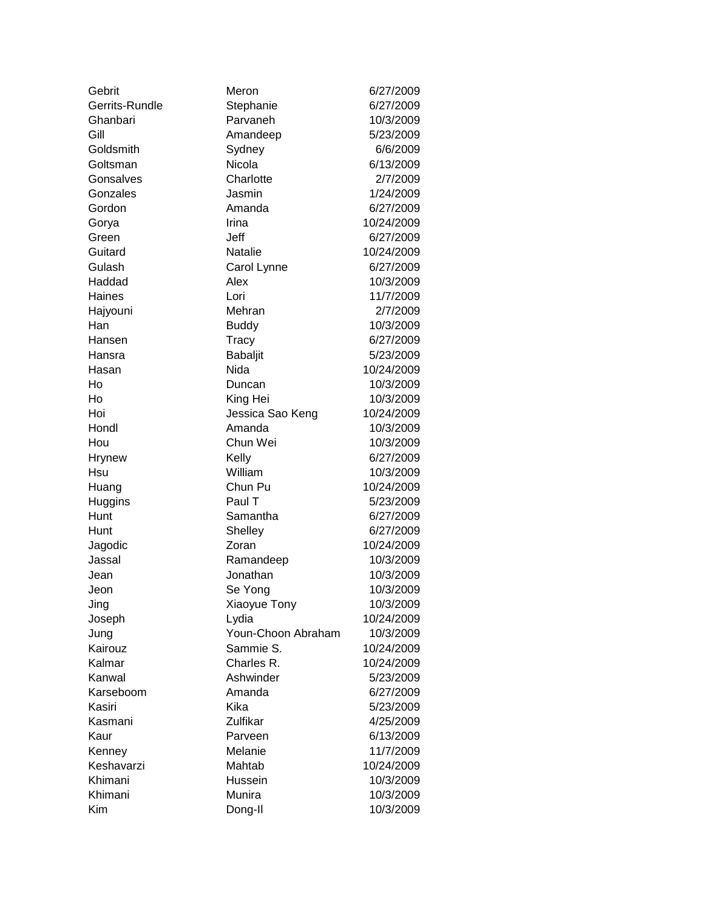| Gebrit         | Meron              | 6/27/2009  |
|----------------|--------------------|------------|
| Gerrits-Rundle | Stephanie          | 6/27/2009  |
| Ghanbari       | Parvaneh           | 10/3/2009  |
| Gill           | Amandeep           | 5/23/2009  |
| Goldsmith      | Sydney             | 6/6/2009   |
| Goltsman       | Nicola             | 6/13/2009  |
| Gonsalves      | Charlotte          | 2/7/2009   |
| Gonzales       | Jasmin             | 1/24/2009  |
| Gordon         | Amanda             | 6/27/2009  |
| Gorya          | Irina              | 10/24/2009 |
| Green          | Jeff               | 6/27/2009  |
| Guitard        | <b>Natalie</b>     | 10/24/2009 |
| Gulash         | Carol Lynne        | 6/27/2009  |
| Haddad         | Alex               | 10/3/2009  |
| Haines         | Lori               | 11/7/2009  |
| Hajyouni       | Mehran             | 2/7/2009   |
| Han            | <b>Buddy</b>       | 10/3/2009  |
| Hansen         | Tracy              | 6/27/2009  |
| Hansra         | <b>Babaljit</b>    | 5/23/2009  |
| Hasan          | Nida               | 10/24/2009 |
| Ho             | Duncan             | 10/3/2009  |
| Ho             | King Hei           | 10/3/2009  |
| Hoi            | Jessica Sao Keng   | 10/24/2009 |
| Hondl          | Amanda             | 10/3/2009  |
| Hou            | Chun Wei           | 10/3/2009  |
| Hrynew         | Kelly              | 6/27/2009  |
| Hsu            | William            | 10/3/2009  |
| Huang          | Chun Pu            | 10/24/2009 |
| Huggins        | Paul T             | 5/23/2009  |
| Hunt           | Samantha           | 6/27/2009  |
| Hunt           | Shelley            | 6/27/2009  |
| Jagodic        | Zoran              | 10/24/2009 |
| Jassal         | Ramandeep          | 10/3/2009  |
| Jean           | Jonathan           | 10/3/2009  |
| Jeon           | Se Yong            | 10/3/2009  |
| Jing           | Xiaoyue Tony       | 10/3/2009  |
| Joseph         | Lydia              | 10/24/2009 |
| Jung           | Youn-Choon Abraham | 10/3/2009  |
| Kairouz        | Sammie S.          | 10/24/2009 |
| Kalmar         | Charles R.         | 10/24/2009 |
| Kanwal         | Ashwinder          | 5/23/2009  |
| Karseboom      | Amanda             | 6/27/2009  |
| Kasiri         | Kika               | 5/23/2009  |
| Kasmani        | Zulfikar           | 4/25/2009  |
| Kaur           | Parveen            | 6/13/2009  |
| Kenney         | Melanie            | 11/7/2009  |
| Keshavarzi     | Mahtab             | 10/24/2009 |
| Khimani        | Hussein            | 10/3/2009  |
| Khimani        | Munira             | 10/3/2009  |
| Kim            | Dong-II            | 10/3/2009  |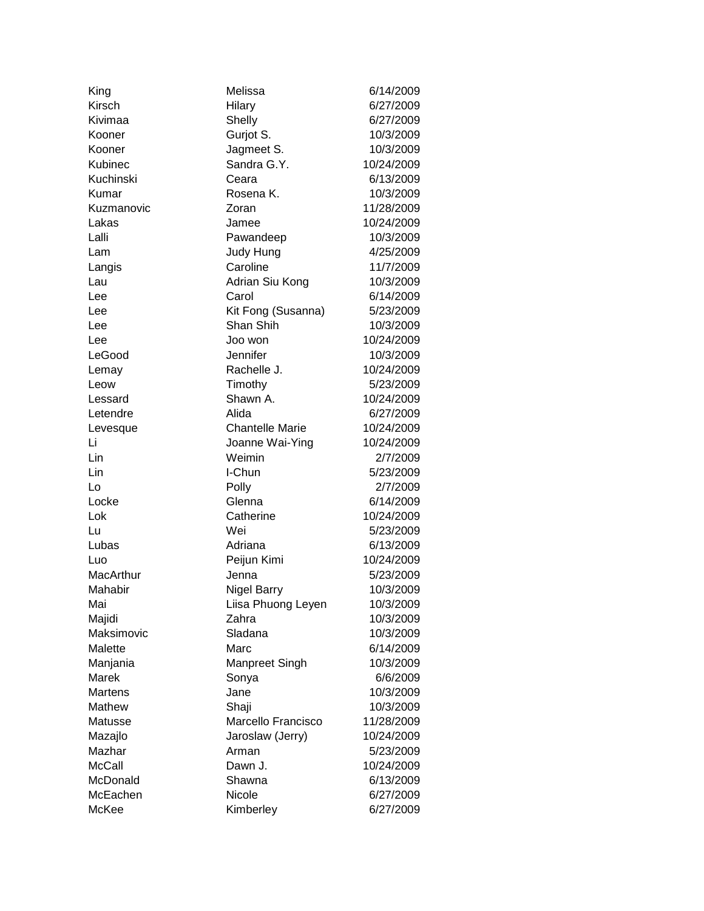| King           | Melissa                | 6/14/2009  |
|----------------|------------------------|------------|
| Kirsch         | Hilary                 | 6/27/2009  |
| Kivimaa        | Shelly                 | 6/27/2009  |
| Kooner         | Gurjot S.              | 10/3/2009  |
| Kooner         | Jagmeet S.             | 10/3/2009  |
| Kubinec        | Sandra G.Y.            | 10/24/2009 |
| Kuchinski      | Ceara                  | 6/13/2009  |
| Kumar          | Rosena K.              | 10/3/2009  |
| Kuzmanovic     | Zoran                  | 11/28/2009 |
| Lakas          | Jamee                  | 10/24/2009 |
| Lalli          | Pawandeep              | 10/3/2009  |
| Lam            | Judy Hung              | 4/25/2009  |
| Langis         | Caroline               | 11/7/2009  |
| Lau            | Adrian Siu Kong        | 10/3/2009  |
| Lee            | Carol                  | 6/14/2009  |
| Lee            | Kit Fong (Susanna)     | 5/23/2009  |
| Lee            | Shan Shih              | 10/3/2009  |
| Lee            | Joo won                | 10/24/2009 |
| LeGood         | Jennifer               | 10/3/2009  |
| Lemay          | Rachelle J.            | 10/24/2009 |
| Leow           | Timothy                | 5/23/2009  |
| Lessard        | Shawn A.               | 10/24/2009 |
| Letendre       | Alida                  | 6/27/2009  |
| Levesque       | <b>Chantelle Marie</b> | 10/24/2009 |
| Li             | Joanne Wai-Ying        | 10/24/2009 |
| Lin            | Weimin                 | 2/7/2009   |
| Lin            | I-Chun                 | 5/23/2009  |
| Lo             | Polly                  | 2/7/2009   |
| Locke          | Glenna                 | 6/14/2009  |
| Lok            | Catherine              | 10/24/2009 |
| Lu             | Wei                    | 5/23/2009  |
| Lubas          | Adriana                | 6/13/2009  |
| Luo            | Peijun Kimi            | 10/24/2009 |
| MacArthur      | Jenna                  | 5/23/2009  |
| Mahabir        | <b>Nigel Barry</b>     | 10/3/2009  |
| Mai            | Liisa Phuong Leyen     | 10/3/2009  |
| Majidi         | Zahra                  | 10/3/2009  |
| Maksimovic     | Sladana                | 10/3/2009  |
| Malette        | Marc                   | 6/14/2009  |
| Manjania       | Manpreet Singh         | 10/3/2009  |
| Marek          | Sonya                  | 6/6/2009   |
| <b>Martens</b> | Jane                   | 10/3/2009  |
| Mathew         | Shaji                  | 10/3/2009  |
| Matusse        | Marcello Francisco     | 11/28/2009 |
| Mazajlo        | Jaroslaw (Jerry)       | 10/24/2009 |
| Mazhar         | Arman                  | 5/23/2009  |
| <b>McCall</b>  | Dawn J.                | 10/24/2009 |
| McDonald       | Shawna                 | 6/13/2009  |
| McEachen       | Nicole                 | 6/27/2009  |
| McKee          | Kimberley              | 6/27/2009  |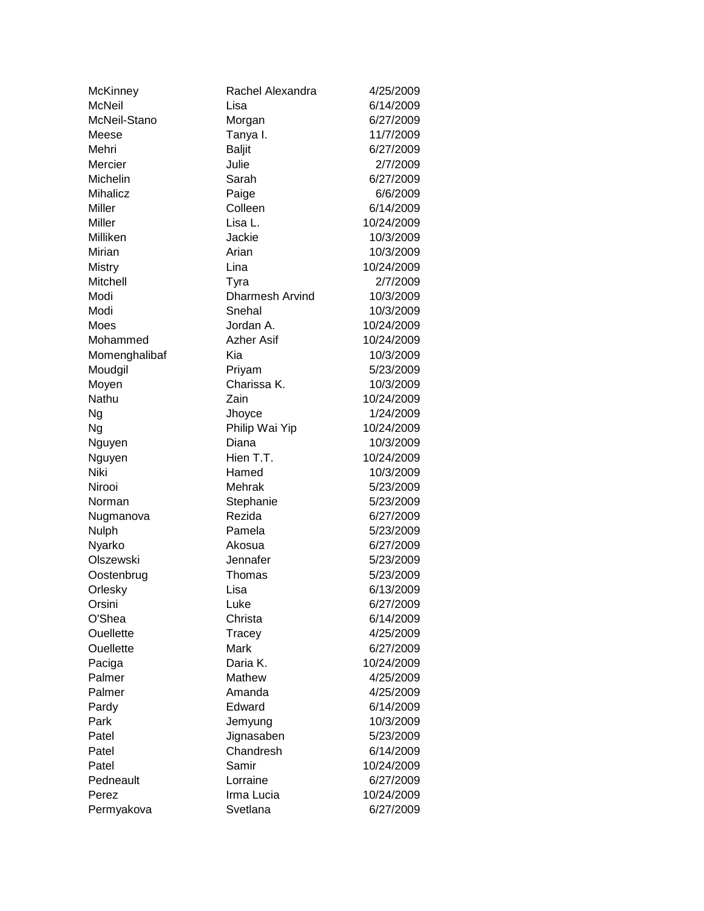| McKinney         | Rachel Alexandra        | 4/25/2009              |
|------------------|-------------------------|------------------------|
| <b>McNeil</b>    | Lisa                    | 6/14/2009              |
| McNeil-Stano     | Morgan                  | 6/27/2009              |
| Meese            | Tanya I.                | 11/7/2009              |
| Mehri            | <b>Baljit</b>           | 6/27/2009              |
| Mercier          | Julie                   | 2/7/2009               |
| Michelin         | Sarah                   | 6/27/2009              |
| Mihalicz         | Paige                   | 6/6/2009               |
| Miller           | Colleen                 | 6/14/2009              |
| Miller           | Lisa L.                 | 10/24/2009             |
| Milliken         | Jackie                  | 10/3/2009              |
| Mirian           | Arian                   | 10/3/2009              |
| Mistry           | Lina                    | 10/24/2009             |
| Mitchell         | Tyra                    | 2/7/2009               |
| Modi             | <b>Dharmesh Arvind</b>  | 10/3/2009              |
| Modi             | Snehal                  | 10/3/2009              |
| Moes             | Jordan A.               | 10/24/2009             |
| Mohammed         | <b>Azher Asif</b>       | 10/24/2009             |
| Momenghalibaf    | Kia                     | 10/3/2009              |
| Moudgil          | Priyam                  | 5/23/2009              |
| Moyen            | Charissa K.             | 10/3/2009              |
| Nathu            | Zain                    | 10/24/2009             |
| Ng               | Jhoyce                  | 1/24/2009              |
| Ng               | Philip Wai Yip          | 10/24/2009             |
| Nguyen           | Diana                   | 10/3/2009              |
| Nguyen           | Hien T.T.               | 10/24/2009             |
| Niki             | Hamed                   | 10/3/2009              |
| Nirooi           | Mehrak                  | 5/23/2009              |
| Norman           | Stephanie               | 5/23/2009              |
| Nugmanova        | Rezida                  | 6/27/2009              |
| Nulph            | Pamela                  | 5/23/2009              |
| Nyarko           | Akosua                  | 6/27/2009              |
| Olszewski        | Jennafer                | 5/23/2009              |
| Oostenbrug       | Thomas                  | 5/23/2009              |
| Orlesky          | Lisa                    | 6/13/2009              |
| Orsini           | Luke                    | 6/27/2009              |
| O'Shea           | Christa                 | 6/14/2009              |
| <b>Ouellette</b> | Tracey                  | 4/25/2009              |
| Ouellette        | Mark                    | 6/27/2009              |
|                  | Daria K.                | 10/24/2009             |
| Paciga<br>Palmer | Mathew                  | 4/25/2009              |
| Palmer           | Amanda                  | 4/25/2009              |
|                  |                         |                        |
| Pardy<br>Park    | Edward                  | 6/14/2009<br>10/3/2009 |
|                  | Jemyung                 |                        |
| Patel            | Jignasaben<br>Chandresh | 5/23/2009              |
| Patel            |                         | 6/14/2009              |
| Patel            | Samir                   | 10/24/2009             |
| Pedneault        | Lorraine                | 6/27/2009              |
| Perez            | Irma Lucia              | 10/24/2009             |
| Permyakova       | Svetlana                | 6/27/2009              |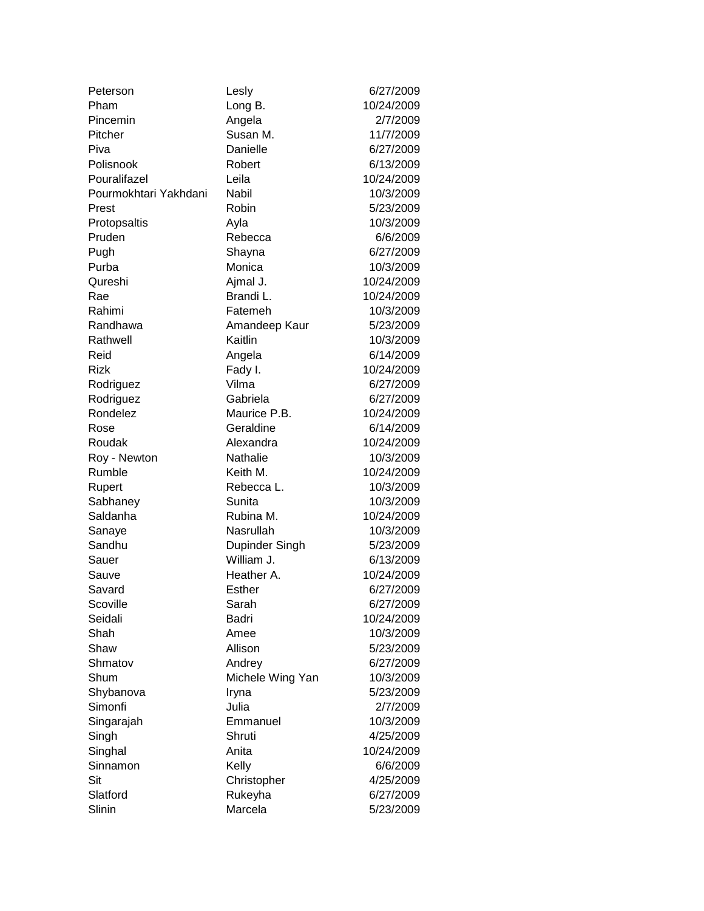| Peterson              | Lesly            | 6/27/2009  |
|-----------------------|------------------|------------|
| Pham                  | Long B.          | 10/24/2009 |
| Pincemin              | Angela           | 2/7/2009   |
| Pitcher               | Susan M.         | 11/7/2009  |
| Piva                  | Danielle         | 6/27/2009  |
| Polisnook             | Robert           | 6/13/2009  |
| Pouralifazel          | Leila            | 10/24/2009 |
| Pourmokhtari Yakhdani | Nabil            | 10/3/2009  |
| Prest                 | Robin            | 5/23/2009  |
| Protopsaltis          | Ayla             | 10/3/2009  |
| Pruden                | Rebecca          | 6/6/2009   |
| Pugh                  | Shayna           | 6/27/2009  |
| Purba                 | Monica           | 10/3/2009  |
| Qureshi               | Ajmal J.         | 10/24/2009 |
| Rae                   | Brandi L.        | 10/24/2009 |
| Rahimi                | Fatemeh          | 10/3/2009  |
| Randhawa              | Amandeep Kaur    | 5/23/2009  |
| Rathwell              | Kaitlin          | 10/3/2009  |
| Reid                  | Angela           | 6/14/2009  |
| <b>Rizk</b>           | Fady I.          | 10/24/2009 |
| Rodriguez             | Vilma            | 6/27/2009  |
| Rodriguez             | Gabriela         | 6/27/2009  |
| Rondelez              | Maurice P.B.     | 10/24/2009 |
| Rose                  | Geraldine        | 6/14/2009  |
| Roudak                | Alexandra        | 10/24/2009 |
| Roy - Newton          | Nathalie         | 10/3/2009  |
| Rumble                | Keith M.         | 10/24/2009 |
| Rupert                | Rebecca L.       | 10/3/2009  |
| Sabhaney              | Sunita           | 10/3/2009  |
| Saldanha              | Rubina M.        | 10/24/2009 |
| Sanaye                | Nasrullah        | 10/3/2009  |
| Sandhu                | Dupinder Singh   | 5/23/2009  |
| Sauer                 | William J.       | 6/13/2009  |
| Sauve                 | Heather A.       | 10/24/2009 |
| Savard                | <b>Esther</b>    | 6/27/2009  |
| Scoville              | Sarah            | 6/27/2009  |
| Seidali               | Badri            | 10/24/2009 |
| Shah                  | Amee             | 10/3/2009  |
| Shaw                  | Allison          | 5/23/2009  |
| Shmatov               | Andrey           | 6/27/2009  |
| Shum                  | Michele Wing Yan | 10/3/2009  |
| Shybanova             | Iryna            | 5/23/2009  |
| Simonfi               | Julia            | 2/7/2009   |
| Singarajah            | Emmanuel         | 10/3/2009  |
| Singh                 | Shruti           | 4/25/2009  |
| Singhal               | Anita            | 10/24/2009 |
| Sinnamon              | Kelly            | 6/6/2009   |
| Sit                   | Christopher      | 4/25/2009  |
| Slatford              | Rukeyha          | 6/27/2009  |
| Slinin                | Marcela          | 5/23/2009  |